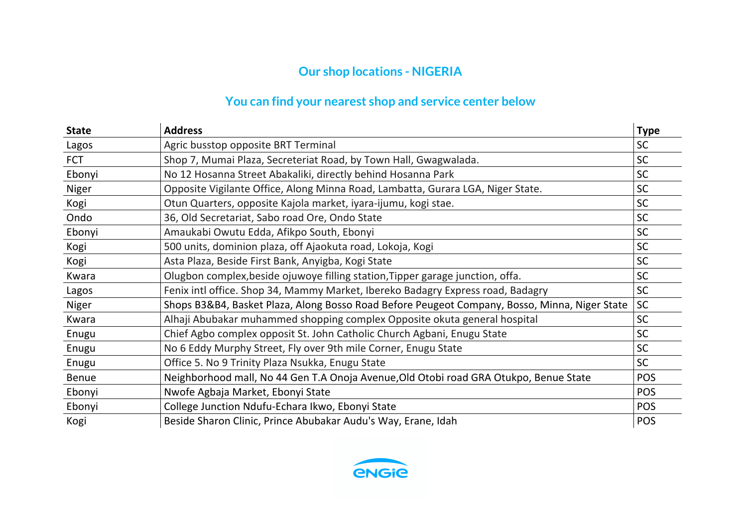## **Our shop locations - NIGERIA**

## **You can find your nearest shop and service center below**

| <b>State</b> | <b>Address</b>                                                                                | <b>Type</b> |
|--------------|-----------------------------------------------------------------------------------------------|-------------|
| Lagos        | Agric busstop opposite BRT Terminal                                                           | <b>SC</b>   |
| <b>FCT</b>   | Shop 7, Mumai Plaza, Secreteriat Road, by Town Hall, Gwagwalada.                              | <b>SC</b>   |
| Ebonyi       | No 12 Hosanna Street Abakaliki, directly behind Hosanna Park                                  | <b>SC</b>   |
| Niger        | Opposite Vigilante Office, Along Minna Road, Lambatta, Gurara LGA, Niger State.               | <b>SC</b>   |
| Kogi         | Otun Quarters, opposite Kajola market, iyara-ijumu, kogi stae.                                | <b>SC</b>   |
| Ondo         | 36, Old Secretariat, Sabo road Ore, Ondo State                                                | <b>SC</b>   |
| Ebonyi       | Amaukabi Owutu Edda, Afikpo South, Ebonyi                                                     | <b>SC</b>   |
| Kogi         | 500 units, dominion plaza, off Ajaokuta road, Lokoja, Kogi                                    | <b>SC</b>   |
| Kogi         | Asta Plaza, Beside First Bank, Anyigba, Kogi State                                            | <b>SC</b>   |
| Kwara        | Olugbon complex, beside ojuwoye filling station, Tipper garage junction, offa.                | <b>SC</b>   |
| Lagos        | Fenix intl office. Shop 34, Mammy Market, Ibereko Badagry Express road, Badagry               | <b>SC</b>   |
| Niger        | Shops B3&B4, Basket Plaza, Along Bosso Road Before Peugeot Company, Bosso, Minna, Niger State | SC          |
| Kwara        | Alhaji Abubakar muhammed shopping complex Opposite okuta general hospital                     | <b>SC</b>   |
| Enugu        | Chief Agbo complex opposit St. John Catholic Church Agbani, Enugu State                       | <b>SC</b>   |
| Enugu        | No 6 Eddy Murphy Street, Fly over 9th mile Corner, Enugu State                                | <b>SC</b>   |
| Enugu        | Office 5. No 9 Trinity Plaza Nsukka, Enugu State                                              | <b>SC</b>   |
| <b>Benue</b> | Neighborhood mall, No 44 Gen T.A Onoja Avenue, Old Otobi road GRA Otukpo, Benue State         | <b>POS</b>  |
| Ebonyi       | Nwofe Agbaja Market, Ebonyi State                                                             | <b>POS</b>  |
| Ebonyi       | College Junction Ndufu-Echara Ikwo, Ebonyi State                                              | <b>POS</b>  |
| Kogi         | Beside Sharon Clinic, Prince Abubakar Audu's Way, Erane, Idah                                 | POS         |